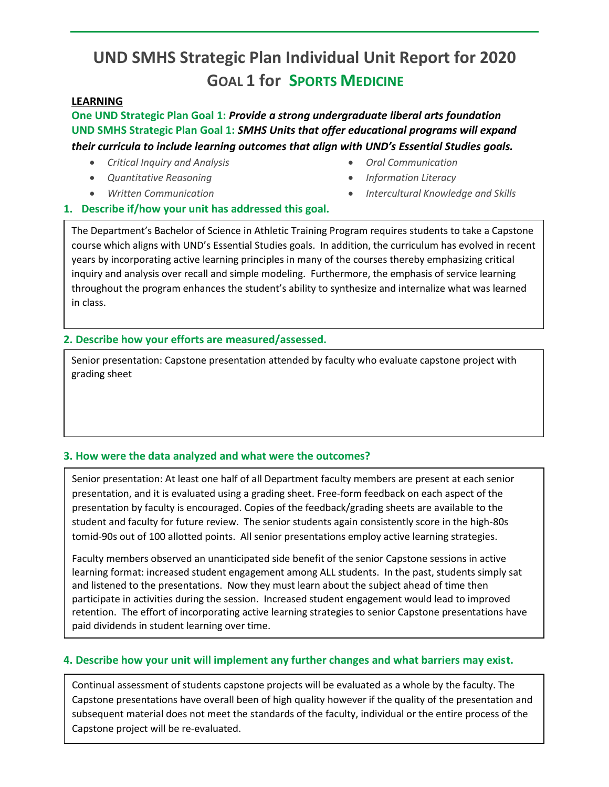# **UND SMHS Strategic Plan Individual Unit Report for 2020 GOAL 1 for SPORTS MEDICINE**

## **LEARNING**

**One UND Strategic Plan Goal 1:** *Provide a strong undergraduate liberal arts foundation* **UND SMHS Strategic Plan Goal 1:** *SMHS Units that offer educational programs will expand their curricula to include learning outcomes that align with UND's Essential Studies goals.* 

- *Critical Inquiry and Analysis*
- *Quantitative Reasoning*
- *Written Communication*
- *Oral Communication*
- *Information Literacy*
- *Intercultural Knowledge and Skills*

### **1. Describe if/how your unit has addressed this goal.**

The Department's Bachelor of Science in Athletic Training Program requires students to take a Capstone course which aligns with UND's Essential Studies goals. In addition, the curriculum has evolved in recent years by incorporating active learning principles in many of the courses thereby emphasizing critical inquiry and analysis over recall and simple modeling. Furthermore, the emphasis of service learning throughout the program enhances the student's ability to synthesize and internalize what was learned in class.

### **2. Describe how your efforts are measured/assessed.**

Senior presentation: Capstone presentation attended by faculty who evaluate capstone project with grading sheet

### **3. How were the data analyzed and what were the outcomes?**

Senior presentation: At least one half of all Department faculty members are present at each senior presentation, and it is evaluated using a grading sheet. Free-form feedback on each aspect of the presentation by faculty is encouraged. Copies of the feedback/grading sheets are available to the student and faculty for future review. The senior students again consistently score in the high-80s tomid-90s out of 100 allotted points. All senior presentations employ active learning strategies.

Faculty members observed an unanticipated side benefit of the senior Capstone sessions in active learning format: increased student engagement among ALL students. In the past, students simply sat and listened to the presentations. Now they must learn about the subject ahead of time then participate in activities during the session. Increased student engagement would lead to improved retention. The effort of incorporating active learning strategies to senior Capstone presentations have paid dividends in student learning over time.

### **4. Describe how your unit will implement any further changes and what barriers may exist.**

Continual assessment of students capstone projects will be evaluated as a whole by the faculty. The Capstone presentations have overall been of high quality however if the quality of the presentation and subsequent material does not meet the standards of the faculty, individual or the entire process of the Capstone project will be re-evaluated.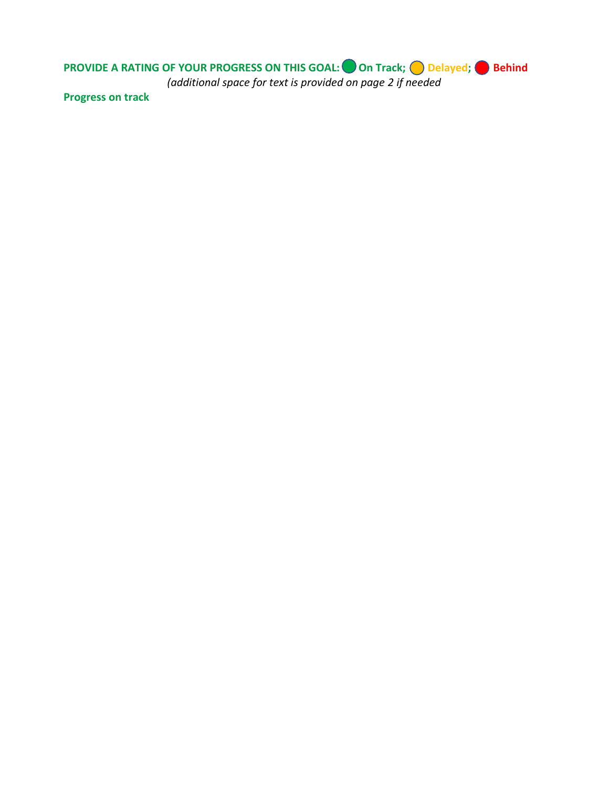**PROVIDE A RATING OF YOUR PROGRESS ON THIS GOAL:** On Track; O Delayed; Behind *(additional space for text is provided on page 2 if needed*

**Progress on track**